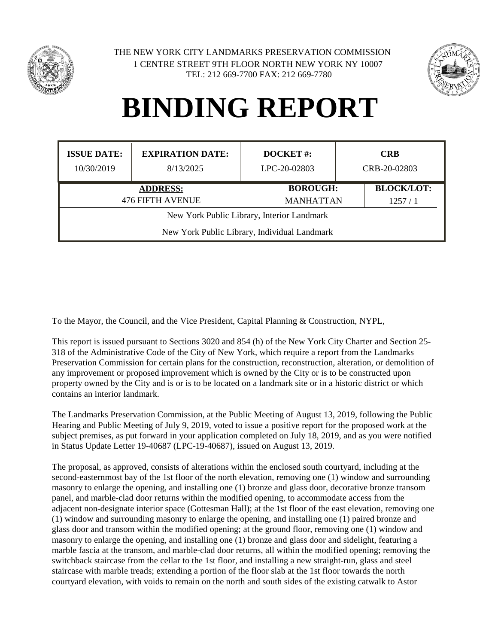

1 CENTRE STREET 9TH FLOOR NORTH NEW YORK NY 10007 TEL: 212 669-7700 FAX: 212 669-7780 THE NEW YORK CITY LANDMARKS PRESERVATION COMMISSION



#### **BINDING REPORT**

| <b>ISSUE DATE:</b>                           | <b>EXPIRATION DATE:</b> | <b>DOCKET#:</b> |                  | <b>CRB</b>   |                   |  |
|----------------------------------------------|-------------------------|-----------------|------------------|--------------|-------------------|--|
| 10/30/2019                                   | 8/13/2025               | LPC-20-02803    |                  | CRB-20-02803 |                   |  |
| <b>ADDRESS:</b>                              |                         |                 | <b>BOROUGH:</b>  |              | <b>BLOCK/LOT:</b> |  |
| <b>476 FIFTH AVENUE</b>                      |                         |                 | <b>MANHATTAN</b> |              | 1257/1            |  |
| New York Public Library, Interior Landmark   |                         |                 |                  |              |                   |  |
| New York Public Library, Individual Landmark |                         |                 |                  |              |                   |  |

To the Mayor, the Council, and the Vice President, Capital Planning & Construction, NYPL,

This report is issued pursuant to Sections 3020 and 854 (h) of the New York City Charter and Section 25- 318 of the Administrative Code of the City of New York, which require a report from the Landmarks Preservation Commission for certain plans for the construction, reconstruction, alteration, or demolition of any improvement or proposed improvement which is owned by the City or is to be constructed upon property owned by the City and is or is to be located on a landmark site or in a historic district or which contains an interior landmark.

The Landmarks Preservation Commission, at the Public Meeting of August 13, 2019, following the Public Hearing and Public Meeting of July 9, 2019, voted to issue a positive report for the proposed work at the subject premises, as put forward in your application completed on July 18, 2019, and as you were notified in Status Update Letter 19-40687 (LPC-19-40687), issued on August 13, 2019.

The proposal, as approved, consists of alterations within the enclosed south courtyard, including at the second-easternmost bay of the 1st floor of the north elevation, removing one (1) window and surrounding masonry to enlarge the opening, and installing one (1) bronze and glass door, decorative bronze transom panel, and marble-clad door returns within the modified opening, to accommodate access from the adjacent non-designate interior space (Gottesman Hall); at the 1st floor of the east elevation, removing one (1) window and surrounding masonry to enlarge the opening, and installing one (1) paired bronze and glass door and transom within the modified opening; at the ground floor, removing one (1) window and masonry to enlarge the opening, and installing one (1) bronze and glass door and sidelight, featuring a marble fascia at the transom, and marble-clad door returns, all within the modified opening; removing the switchback staircase from the cellar to the 1st floor, and installing a new straight-run, glass and steel staircase with marble treads; extending a portion of the floor slab at the 1st floor towards the north courtyard elevation, with voids to remain on the north and south sides of the existing catwalk to Astor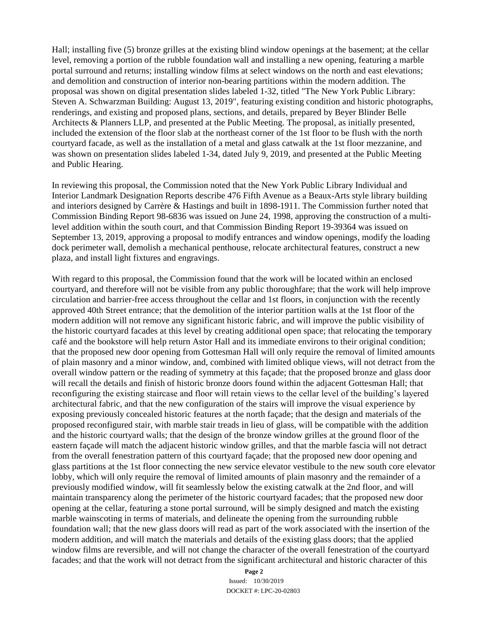Hall; installing five (5) bronze grilles at the existing blind window openings at the basement; at the cellar level, removing a portion of the rubble foundation wall and installing a new opening, featuring a marble portal surround and returns; installing window films at select windows on the north and east elevations; and demolition and construction of interior non-bearing partitions within the modern addition. The proposal was shown on digital presentation slides labeled 1-32, titled "The New York Public Library: Steven A. Schwarzman Building: August 13, 2019", featuring existing condition and historic photographs, renderings, and existing and proposed plans, sections, and details, prepared by Beyer Blinder Belle Architects & Planners LLP, and presented at the Public Meeting. The proposal, as initially presented, included the extension of the floor slab at the northeast corner of the 1st floor to be flush with the north courtyard facade, as well as the installation of a metal and glass catwalk at the 1st floor mezzanine, and was shown on presentation slides labeled 1-34, dated July 9, 2019, and presented at the Public Meeting and Public Hearing.

In reviewing this proposal, the Commission noted that the New York Public Library Individual and Interior Landmark Designation Reports describe 476 Fifth Avenue as a Beaux-Arts style library building and interiors designed by Carrère & Hastings and built in 1898-1911. The Commission further noted that Commission Binding Report 98-6836 was issued on June 24, 1998, approving the construction of a multilevel addition within the south court, and that Commission Binding Report 19-39364 was issued on September 13, 2019, approving a proposal to modify entrances and window openings, modify the loading dock perimeter wall, demolish a mechanical penthouse, relocate architectural features, construct a new plaza, and install light fixtures and engravings.

With regard to this proposal, the Commission found that the work will be located within an enclosed courtyard, and therefore will not be visible from any public thoroughfare; that the work will help improve circulation and barrier-free access throughout the cellar and 1st floors, in conjunction with the recently approved 40th Street entrance; that the demolition of the interior partition walls at the 1st floor of the modern addition will not remove any significant historic fabric, and will improve the public visibility of the historic courtyard facades at this level by creating additional open space; that relocating the temporary café and the bookstore will help return Astor Hall and its immediate environs to their original condition; that the proposed new door opening from Gottesman Hall will only require the removal of limited amounts of plain masonry and a minor window, and, combined with limited oblique views, will not detract from the overall window pattern or the reading of symmetry at this façade; that the proposed bronze and glass door will recall the details and finish of historic bronze doors found within the adjacent Gottesman Hall; that reconfiguring the existing staircase and floor will retain views to the cellar level of the building's layered architectural fabric, and that the new configuration of the stairs will improve the visual experience by exposing previously concealed historic features at the north façade; that the design and materials of the proposed reconfigured stair, with marble stair treads in lieu of glass, will be compatible with the addition and the historic courtyard walls; that the design of the bronze window grilles at the ground floor of the eastern façade will match the adjacent historic window grilles, and that the marble fascia will not detract from the overall fenestration pattern of this courtyard façade; that the proposed new door opening and glass partitions at the 1st floor connecting the new service elevator vestibule to the new south core elevator lobby, which will only require the removal of limited amounts of plain masonry and the remainder of a previously modified window, will fit seamlessly below the existing catwalk at the 2nd floor, and will maintain transparency along the perimeter of the historic courtyard facades; that the proposed new door opening at the cellar, featuring a stone portal surround, will be simply designed and match the existing marble wainscoting in terms of materials, and delineate the opening from the surrounding rubble foundation wall; that the new glass doors will read as part of the work associated with the insertion of the modern addition, and will match the materials and details of the existing glass doors; that the applied window films are reversible, and will not change the character of the overall fenestration of the courtyard facades; and that the work will not detract from the significant architectural and historic character of this

> **Page 2** Issued: 10/30/2019 DOCKET #: LPC-20-02803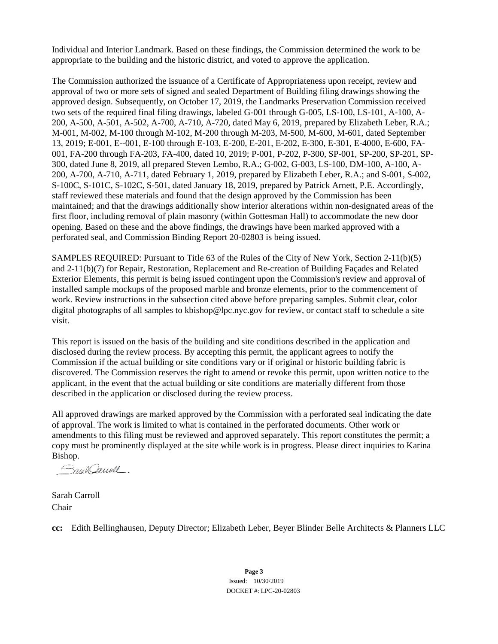Individual and Interior Landmark. Based on these findings, the Commission determined the work to be appropriate to the building and the historic district, and voted to approve the application.

The Commission authorized the issuance of a Certificate of Appropriateness upon receipt, review and approval of two or more sets of signed and sealed Department of Building filing drawings showing the approved design. Subsequently, on October 17, 2019, the Landmarks Preservation Commission received two sets of the required final filing drawings, labeled G-001 through G-005, LS-100, LS-101, A-100, A-200, A-500, A-501, A-502, A-700, A-710, A-720, dated May 6, 2019, prepared by Elizabeth Leber, R.A.; M-001, M-002, M-100 through M-102, M-200 through M-203, M-500, M-600, M-601, dated September 13, 2019; E-001, E--001, E-100 through E-103, E-200, E-201, E-202, E-300, E-301, E-4000, E-600, FA-001, FA-200 through FA-203, FA-400, dated 10, 2019; P-001, P-202, P-300, SP-001, SP-200, SP-201, SP-300, dated June 8, 2019, all prepared Steven Lembo, R.A.; G-002, G-003, LS-100, DM-100, A-100, A-200, A-700, A-710, A-711, dated February 1, 2019, prepared by Elizabeth Leber, R.A.; and S-001, S-002, S-100C, S-101C, S-102C, S-501, dated January 18, 2019, prepared by Patrick Arnett, P.E. Accordingly, staff reviewed these materials and found that the design approved by the Commission has been maintained; and that the drawings additionally show interior alterations within non-designated areas of the first floor, including removal of plain masonry (within Gottesman Hall) to accommodate the new door opening. Based on these and the above findings, the drawings have been marked approved with a perforated seal, and Commission Binding Report 20-02803 is being issued.

SAMPLES REQUIRED: Pursuant to Title 63 of the Rules of the City of New York, Section 2-11(b)(5) and 2-11(b)(7) for Repair, Restoration, Replacement and Re-creation of Building Façades and Related Exterior Elements, this permit is being issued contingent upon the Commission's review and approval of installed sample mockups of the proposed marble and bronze elements, prior to the commencement of work. Review instructions in the subsection cited above before preparing samples. Submit clear, color digital photographs of all samples to kbishop@lpc.nyc.gov for review, or contact staff to schedule a site visit.

This report is issued on the basis of the building and site conditions described in the application and disclosed during the review process. By accepting this permit, the applicant agrees to notify the Commission if the actual building or site conditions vary or if original or historic building fabric is discovered. The Commission reserves the right to amend or revoke this permit, upon written notice to the applicant, in the event that the actual building or site conditions are materially different from those described in the application or disclosed during the review process.

All approved drawings are marked approved by the Commission with a perforated seal indicating the date of approval. The work is limited to what is contained in the perforated documents. Other work or amendments to this filing must be reviewed and approved separately. This report constitutes the permit; a copy must be prominently displayed at the site while work is in progress. Please direct inquiries to Karina Bishop.

Snow Caugh

Sarah Carroll Chair

**cc:** Edith Bellinghausen, Deputy Director; Elizabeth Leber, Beyer Blinder Belle Architects & Planners LLC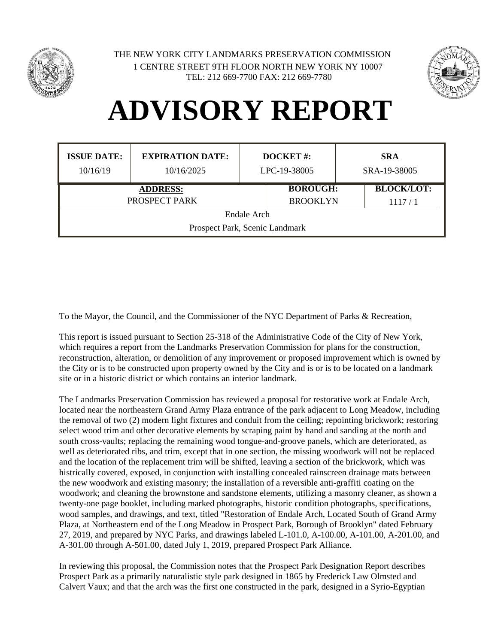



#### **ADVISORY REPORT**

| <b>ISSUE DATE:</b>             | <b>EXPIRATION DATE:</b> | <b>DOCKET#:</b> | <b>SRA</b>        |  |  |  |
|--------------------------------|-------------------------|-----------------|-------------------|--|--|--|
| 10/16/19                       | 10/16/2025              | LPC-19-38005    | SRA-19-38005      |  |  |  |
|                                | <b>ADDRESS:</b>         | <b>BOROUGH:</b> | <b>BLOCK/LOT:</b> |  |  |  |
|                                | PROSPECT PARK           | <b>BROOKLYN</b> | 1117/1            |  |  |  |
| Endale Arch                    |                         |                 |                   |  |  |  |
| Prospect Park, Scenic Landmark |                         |                 |                   |  |  |  |

To the Mayor, the Council, and the Commissioner of the NYC Department of Parks & Recreation,

This report is issued pursuant to Section 25-318 of the Administrative Code of the City of New York, which requires a report from the Landmarks Preservation Commission for plans for the construction, reconstruction, alteration, or demolition of any improvement or proposed improvement which is owned by the City or is to be constructed upon property owned by the City and is or is to be located on a landmark site or in a historic district or which contains an interior landmark.

The Landmarks Preservation Commission has reviewed a proposal for restorative work at Endale Arch, located near the northeastern Grand Army Plaza entrance of the park adjacent to Long Meadow, including the removal of two (2) modern light fixtures and conduit from the ceiling; repointing brickwork; restoring select wood trim and other decorative elements by scraping paint by hand and sanding at the north and south cross-vaults; replacing the remaining wood tongue-and-groove panels, which are deteriorated, as well as deteriorated ribs, and trim, except that in one section, the missing woodwork will not be replaced and the location of the replacement trim will be shifted, leaving a section of the brickwork, which was histrically covered, exposed, in conjunction with installing concealed rainscreen drainage mats between the new woodwork and existing masonry; the installation of a reversible anti-graffiti coating on the woodwork; and cleaning the brownstone and sandstone elements, utilizing a masonry cleaner, as shown a twenty-one page booklet, including marked photographs, historic condition photographs, specifications, wood samples, and drawings, and text, titled "Restoration of Endale Arch, Located South of Grand Army Plaza, at Northeastern end of the Long Meadow in Prospect Park, Borough of Brooklyn" dated February 27, 2019, and prepared by NYC Parks, and drawings labeled L-101.0, A-100.00, A-101.00, A-201.00, and A-301.00 through A-501.00, dated July 1, 2019, prepared Prospect Park Alliance.

In reviewing this proposal, the Commission notes that the Prospect Park Designation Report describes Prospect Park as a primarily naturalistic style park designed in 1865 by Frederick Law Olmsted and Calvert Vaux; and that the arch was the first one constructed in the park, designed in a Syrio-Egyptian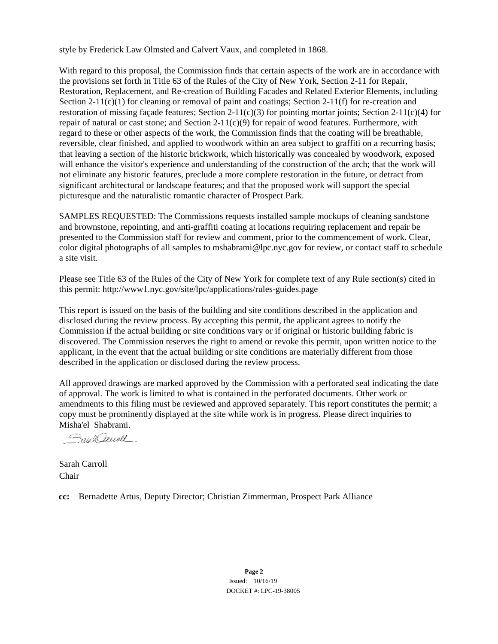style by Frederick Law Olmsted and Calvert Vaux, and completed in 1868.

With regard to this proposal, the Commission finds that certain aspects of the work are in accordance with the provisions set forth in Title 63 of the Rules of the City of New York, Section 2-11 for Repair, Restoration, Replacement, and Re-creation of Building Facades and Related Exterior Elements, including Section 2-11(c)(1) for cleaning or removal of paint and coatings; Section 2-11(f) for re-creation and restoration of missing façade features; Section 2-11(c)(3) for pointing mortar joints; Section 2-11(c)(4) for repair of natural or cast stone; and Section  $2-11(c)(9)$  for repair of wood features. Furthermore, with regard to these or other aspects of the work, the Commission finds that the coating will be breathable, reversible, clear finished, and applied to woodwork within an area subject to graffiti on a recurring basis; that leaving a section of the historic brickwork, which historically was concealed by woodwork, exposed will enhance the visitor's experience and understanding of the construction of the arch; that the work will not eliminate any historic features, preclude a more complete restoration in the future, or detract from significant architectural or landscape features; and that the proposed work will support the special picturesque and the naturalistic romantic character of Prospect Park.

SAMPLES REQUESTED: The Commissions requests installed sample mockups of cleaning sandstone and brownstone, repointing, and anti-graffiti coating at locations requiring replacement and repair be presented to the Commission staff for review and comment, prior to the commencement of work. Clear, color digital photographs of all samples to mshabrami@lpc.nyc.gov for review, or contact staff to schedule a site visit.

Please see Title 63 of the Rules of the City of New York for complete text of any Rule section(s) cited in this permit: http://www1.nyc.gov/site/lpc/applications/rules-guides.page

This report is issued on the basis of the building and site conditions described in the application and disclosed during the review process. By accepting this permit, the applicant agrees to notify the Commission if the actual building or site conditions vary or if original or historic building fabric is discovered. The Commission reserves the right to amend or revoke this permit, upon written notice to the applicant, in the event that the actual building or site conditions are materially different from those described in the application or disclosed during the review process.

All approved drawings are marked approved by the Commission with a perforated seal indicating the date of approval. The work is limited to what is contained in the perforated documents. Other work or amendments to this filing must be reviewed and approved separately. This report constitutes the permit; a copy must be prominently displayed at the site while work is in progress. Please direct inquiries to Misha'el Shabrami.

SmitCauoll

Sarah Carroll Chair

**cc:** Bernadette Artus, Deputy Director; Christian Zimmerman, Prospect Park Alliance

**Page 2** Issued: 10/16/19 DOCKET #: LPC-19-38005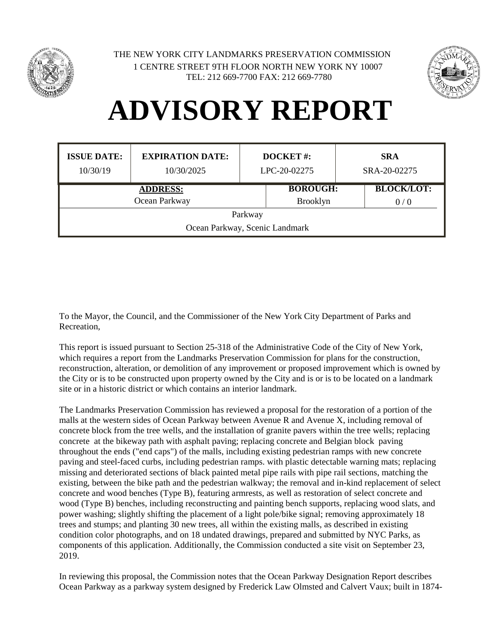



#### **ADVISORY REPORT**

| <b>ISSUE DATE:</b><br>10/30/19 | <b>EXPIRATION DATE:</b><br>10/30/2025 | <b>DOCKET#:</b><br>LPC-20-02275 | <b>SRA</b><br>SRA-20-02275 |  |  |
|--------------------------------|---------------------------------------|---------------------------------|----------------------------|--|--|
| <b>ADDRESS:</b>                |                                       | <b>BOROUGH:</b>                 | <b>BLOCK/LOT:</b>          |  |  |
|                                | Ocean Parkway                         | <b>Brooklyn</b>                 | 0/0                        |  |  |
| Parkway                        |                                       |                                 |                            |  |  |
| Ocean Parkway, Scenic Landmark |                                       |                                 |                            |  |  |

To the Mayor, the Council, and the Commissioner of the New York City Department of Parks and Recreation,

This report is issued pursuant to Section 25-318 of the Administrative Code of the City of New York, which requires a report from the Landmarks Preservation Commission for plans for the construction, reconstruction, alteration, or demolition of any improvement or proposed improvement which is owned by the City or is to be constructed upon property owned by the City and is or is to be located on a landmark site or in a historic district or which contains an interior landmark.

The Landmarks Preservation Commission has reviewed a proposal for the restoration of a portion of the malls at the western sides of Ocean Parkway between Avenue R and Avenue X, including removal of concrete block from the tree wells, and the installation of granite pavers within the tree wells; replacing concrete at the bikeway path with asphalt paving; replacing concrete and Belgian block paving throughout the ends ("end caps") of the malls, including existing pedestrian ramps with new concrete paving and steel-faced curbs, including pedestrian ramps. with plastic detectable warning mats; replacing missing and deteriorated sections of black painted metal pipe rails with pipe rail sections, matching the existing, between the bike path and the pedestrian walkway; the removal and in-kind replacement of select concrete and wood benches (Type B), featuring armrests, as well as restoration of select concrete and wood (Type B) benches, including reconstructing and painting bench supports, replacing wood slats, and power washing; slightly shifting the placement of a light pole/bike signal; removing approximately 18 trees and stumps; and planting 30 new trees, all within the existing malls, as described in existing condition color photographs, and on 18 undated drawings, prepared and submitted by NYC Parks, as components of this application. Additionally, the Commission conducted a site visit on September 23, 2019.

In reviewing this proposal, the Commission notes that the Ocean Parkway Designation Report describes Ocean Parkway as a parkway system designed by Frederick Law Olmsted and Calvert Vaux; built in 1874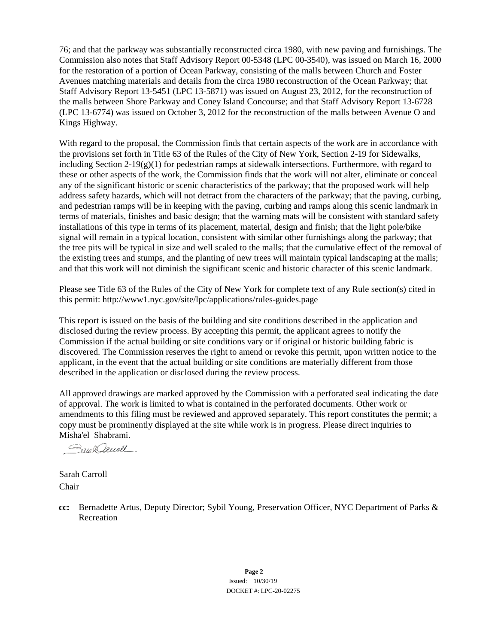76; and that the parkway was substantially reconstructed circa 1980, with new paving and furnishings. The Commission also notes that Staff Advisory Report 00-5348 (LPC 00-3540), was issued on March 16, 2000 for the restoration of a portion of Ocean Parkway, consisting of the malls between Church and Foster Avenues matching materials and details from the circa 1980 reconstruction of the Ocean Parkway; that Staff Advisory Report 13-5451 (LPC 13-5871) was issued on August 23, 2012, for the reconstruction of the malls between Shore Parkway and Coney Island Concourse; and that Staff Advisory Report 13-6728 (LPC 13-6774) was issued on October 3, 2012 for the reconstruction of the malls between Avenue O and Kings Highway.

With regard to the proposal, the Commission finds that certain aspects of the work are in accordance with the provisions set forth in Title 63 of the Rules of the City of New York, Section 2-19 for Sidewalks, including Section 2-19(g)(1) for pedestrian ramps at sidewalk intersections. Furthermore, with regard to these or other aspects of the work, the Commission finds that the work will not alter, eliminate or conceal any of the significant historic or scenic characteristics of the parkway; that the proposed work will help address safety hazards, which will not detract from the characters of the parkway; that the paving, curbing, and pedestrian ramps will be in keeping with the paving, curbing and ramps along this scenic landmark in terms of materials, finishes and basic design; that the warning mats will be consistent with standard safety installations of this type in terms of its placement, material, design and finish; that the light pole/bike signal will remain in a typical location, consistent with similar other furnishings along the parkway; that the tree pits will be typical in size and well scaled to the malls; that the cumulative effect of the removal of the existing trees and stumps, and the planting of new trees will maintain typical landscaping at the malls; and that this work will not diminish the significant scenic and historic character of this scenic landmark.

Please see Title 63 of the Rules of the City of New York for complete text of any Rule section(s) cited in this permit: http://www1.nyc.gov/site/lpc/applications/rules-guides.page

This report is issued on the basis of the building and site conditions described in the application and disclosed during the review process. By accepting this permit, the applicant agrees to notify the Commission if the actual building or site conditions vary or if original or historic building fabric is discovered. The Commission reserves the right to amend or revoke this permit, upon written notice to the applicant, in the event that the actual building or site conditions are materially different from those described in the application or disclosed during the review process.

All approved drawings are marked approved by the Commission with a perforated seal indicating the date of approval. The work is limited to what is contained in the perforated documents. Other work or amendments to this filing must be reviewed and approved separately. This report constitutes the permit; a copy must be prominently displayed at the site while work is in progress. Please direct inquiries to Misha'el Shabrami.

Smit Januall.

Sarah Carroll Chair

**cc:** Bernadette Artus, Deputy Director; Sybil Young, Preservation Officer, NYC Department of Parks & Recreation

> **Page 2** Issued: 10/30/19 DOCKET #: LPC-20-02275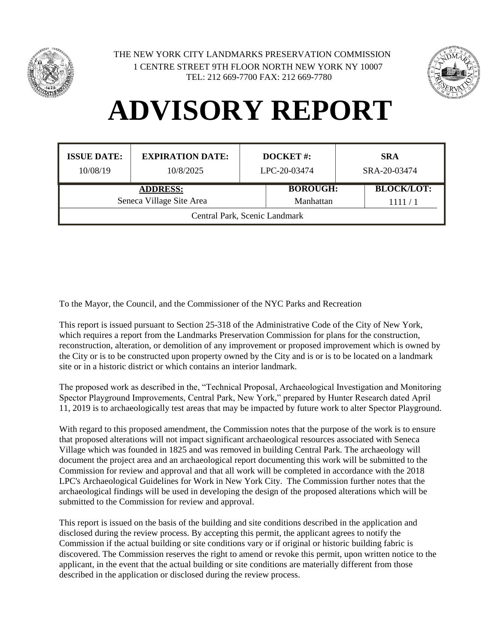



#### **ADVISORY REPORT**

| <b>ISSUE DATE:</b><br>10/08/19 | <b>EXPIRATION DATE:</b><br>10/8/2025 | <b>DOCKET#:</b><br>LPC-20-03474 |                 | <b>SRA</b><br>SRA-20-03474 |  |
|--------------------------------|--------------------------------------|---------------------------------|-----------------|----------------------------|--|
| <b>ADDRESS:</b>                |                                      |                                 | <b>BOROUGH:</b> | <b>BLOCK/LOT:</b>          |  |
| Seneca Village Site Area       |                                      | Manhattan                       |                 | 1111/1                     |  |
| Central Park, Scenic Landmark  |                                      |                                 |                 |                            |  |

To the Mayor, the Council, and the Commissioner of the NYC Parks and Recreation

This report is issued pursuant to Section 25-318 of the Administrative Code of the City of New York, which requires a report from the Landmarks Preservation Commission for plans for the construction, reconstruction, alteration, or demolition of any improvement or proposed improvement which is owned by the City or is to be constructed upon property owned by the City and is or is to be located on a landmark site or in a historic district or which contains an interior landmark.

The proposed work as described in the, "Technical Proposal, Archaeological Investigation and Monitoring Spector Playground Improvements, Central Park, New York," prepared by Hunter Research dated April 11, 2019 is to archaeologically test areas that may be impacted by future work to alter Spector Playground.

With regard to this proposed amendment, the Commission notes that the purpose of the work is to ensure that proposed alterations will not impact significant archaeological resources associated with Seneca Village which was founded in 1825 and was removed in building Central Park. The archaeology will document the project area and an archaeological report documenting this work will be submitted to the Commission for review and approval and that all work will be completed in accordance with the 2018 LPC's Archaeological Guidelines for Work in New York City. The Commission further notes that the archaeological findings will be used in developing the design of the proposed alterations which will be submitted to the Commission for review and approval.

This report is issued on the basis of the building and site conditions described in the application and disclosed during the review process. By accepting this permit, the applicant agrees to notify the Commission if the actual building or site conditions vary or if original or historic building fabric is discovered. The Commission reserves the right to amend or revoke this permit, upon written notice to the applicant, in the event that the actual building or site conditions are materially different from those described in the application or disclosed during the review process.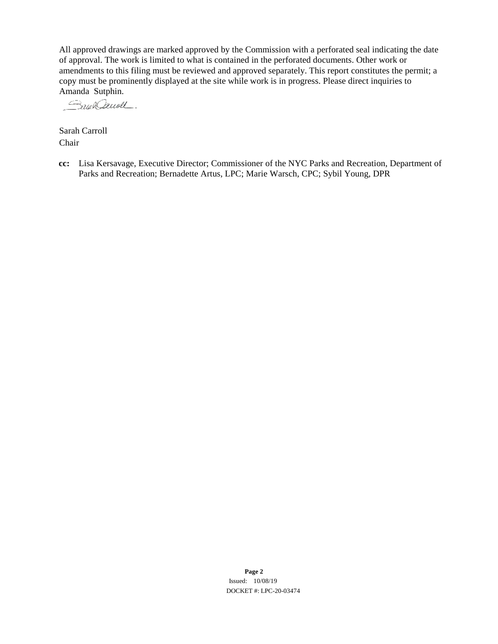All approved drawings are marked approved by the Commission with a perforated seal indicating the date of approval. The work is limited to what is contained in the perforated documents. Other work or amendments to this filing must be reviewed and approved separately. This report constitutes the permit; a copy must be prominently displayed at the site while work is in progress. Please direct inquiries to

Amanda Sutphin.<br>*Auch Cauvell*.

Sarah Carroll Chair

**cc:** Lisa Kersavage, Executive Director; Commissioner of the NYC Parks and Recreation, Department of Parks and Recreation; Bernadette Artus, LPC; Marie Warsch, CPC; Sybil Young, DPR

> **Page 2** Issued: 10/08/19 DOCKET #: LPC-20-03474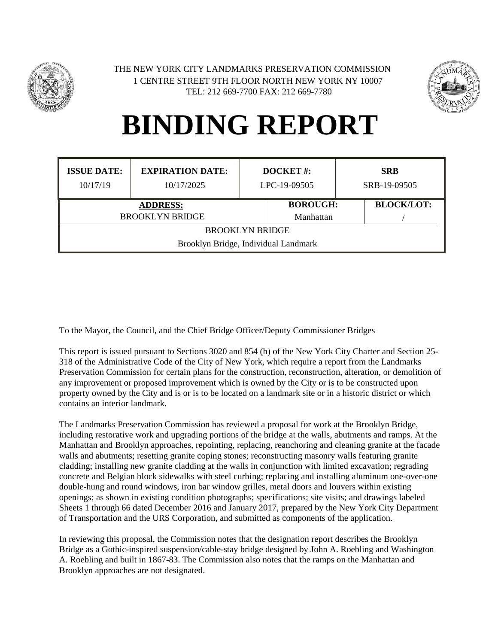



| <b>ISSUE DATE:</b><br>10/17/19                                 | <b>EXPIRATION DATE:</b><br>10/17/2025 | <b>DOCKET#:</b><br>LPC-19-09505 |                              | <b>SRB</b><br>SRB-19-09505 |  |
|----------------------------------------------------------------|---------------------------------------|---------------------------------|------------------------------|----------------------------|--|
| <b>ADDRESS:</b><br><b>BROOKLYN BRIDGE</b>                      |                                       |                                 | <b>BOROUGH:</b><br>Manhattan | <b>BLOCK/LOT:</b>          |  |
| <b>BROOKLYN BRIDGE</b><br>Brooklyn Bridge, Individual Landmark |                                       |                                 |                              |                            |  |
|                                                                |                                       |                                 |                              |                            |  |

To the Mayor, the Council, and the Chief Bridge Officer/Deputy Commissioner Bridges

This report is issued pursuant to Sections 3020 and 854 (h) of the New York City Charter and Section 25- 318 of the Administrative Code of the City of New York, which require a report from the Landmarks Preservation Commission for certain plans for the construction, reconstruction, alteration, or demolition of any improvement or proposed improvement which is owned by the City or is to be constructed upon property owned by the City and is or is to be located on a landmark site or in a historic district or which contains an interior landmark.

The Landmarks Preservation Commission has reviewed a proposal for work at the Brooklyn Bridge, including restorative work and upgrading portions of the bridge at the walls, abutments and ramps. At the Manhattan and Brooklyn approaches, repointing, replacing, reanchoring and cleaning granite at the facade walls and abutments; resetting granite coping stones; reconstructing masonry walls featuring granite cladding; installing new granite cladding at the walls in conjunction with limited excavation; regrading concrete and Belgian block sidewalks with steel curbing; replacing and installing aluminum one-over-one double-hung and round windows, iron bar window grilles, metal doors and louvers within existing openings; as shown in existing condition photographs; specifications; site visits; and drawings labeled Sheets 1 through 66 dated December 2016 and January 2017, prepared by the New York City Department of Transportation and the URS Corporation, and submitted as components of the application.

In reviewing this proposal, the Commission notes that the designation report describes the Brooklyn Bridge as a Gothic-inspired suspension/cable-stay bridge designed by John A. Roebling and Washington A. Roebling and built in 1867-83. The Commission also notes that the ramps on the Manhattan and Brooklyn approaches are not designated.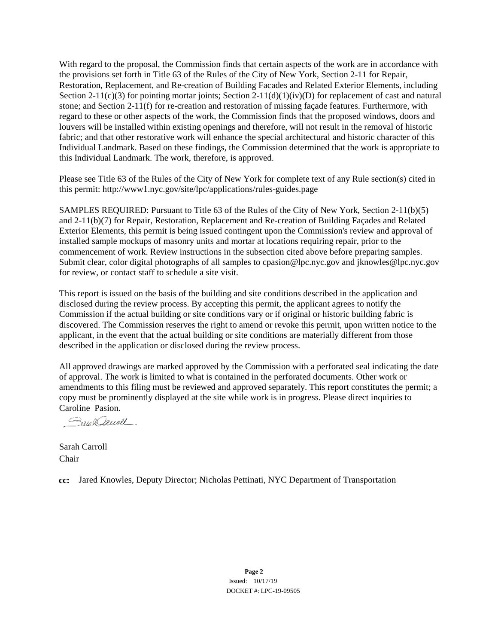With regard to the proposal, the Commission finds that certain aspects of the work are in accordance with the provisions set forth in Title 63 of the Rules of the City of New York, Section 2-11 for Repair, Restoration, Replacement, and Re-creation of Building Facades and Related Exterior Elements, including Section 2-11(c)(3) for pointing mortar joints; Section 2-11(d)(1)(iv)(D) for replacement of cast and natural stone; and Section 2-11(f) for re-creation and restoration of missing façade features. Furthermore, with regard to these or other aspects of the work, the Commission finds that the proposed windows, doors and louvers will be installed within existing openings and therefore, will not result in the removal of historic fabric; and that other restorative work will enhance the special architectural and historic character of this Individual Landmark. Based on these findings, the Commission determined that the work is appropriate to this Individual Landmark. The work, therefore, is approved.

Please see Title 63 of the Rules of the City of New York for complete text of any Rule section(s) cited in this permit: http://www1.nyc.gov/site/lpc/applications/rules-guides.page

SAMPLES REQUIRED: Pursuant to Title 63 of the Rules of the City of New York, Section 2-11(b)(5) and 2-11(b)(7) for Repair, Restoration, Replacement and Re-creation of Building Façades and Related Exterior Elements, this permit is being issued contingent upon the Commission's review and approval of installed sample mockups of masonry units and mortar at locations requiring repair, prior to the commencement of work. Review instructions in the subsection cited above before preparing samples. Submit clear, color digital photographs of all samples to cpasion@lpc.nyc.gov and jknowles@lpc.nyc.gov for review, or contact staff to schedule a site visit.

This report is issued on the basis of the building and site conditions described in the application and disclosed during the review process. By accepting this permit, the applicant agrees to notify the Commission if the actual building or site conditions vary or if original or historic building fabric is discovered. The Commission reserves the right to amend or revoke this permit, upon written notice to the applicant, in the event that the actual building or site conditions are materially different from those described in the application or disclosed during the review process.

All approved drawings are marked approved by the Commission with a perforated seal indicating the date of approval. The work is limited to what is contained in the perforated documents. Other work or amendments to this filing must be reviewed and approved separately. This report constitutes the permit; a copy must be prominently displayed at the site while work is in progress. Please direct inquiries to Caroline Pasion.

Smal Caugh

Sarah Carroll Chair

**cc:** Jared Knowles, Deputy Director; Nicholas Pettinati, NYC Department of Transportation

**Page 2** Issued: 10/17/19 DOCKET #: LPC-19-09505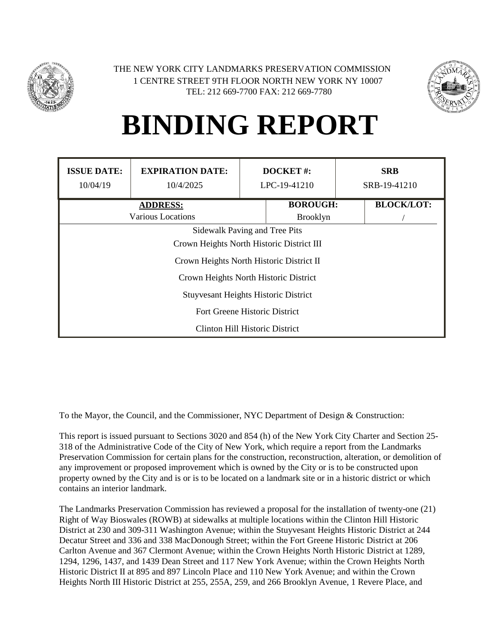



| <b>ISSUE DATE:</b>                          | <b>EXPIRATION DATE:</b>                   | <b>DOCKET#:</b> |                 |  | <b>SRB</b>        |  |
|---------------------------------------------|-------------------------------------------|-----------------|-----------------|--|-------------------|--|
| 10/04/19                                    | 10/4/2025                                 |                 | LPC-19-41210    |  | SRB-19-41210      |  |
|                                             | <b>ADDRESS:</b>                           |                 | <b>BOROUGH:</b> |  | <b>BLOCK/LOT:</b> |  |
|                                             | Various Locations                         |                 | <b>Brooklyn</b> |  |                   |  |
|                                             | Sidewalk Paving and Tree Pits             |                 |                 |  |                   |  |
|                                             | Crown Heights North Historic District III |                 |                 |  |                   |  |
|                                             | Crown Heights North Historic District II  |                 |                 |  |                   |  |
|                                             | Crown Heights North Historic District     |                 |                 |  |                   |  |
| <b>Stuyvesant Heights Historic District</b> |                                           |                 |                 |  |                   |  |
|                                             | Fort Greene Historic District             |                 |                 |  |                   |  |
| Clinton Hill Historic District              |                                           |                 |                 |  |                   |  |

To the Mayor, the Council, and the Commissioner, NYC Department of Design & Construction:

This report is issued pursuant to Sections 3020 and 854 (h) of the New York City Charter and Section 25- 318 of the Administrative Code of the City of New York, which require a report from the Landmarks Preservation Commission for certain plans for the construction, reconstruction, alteration, or demolition of any improvement or proposed improvement which is owned by the City or is to be constructed upon property owned by the City and is or is to be located on a landmark site or in a historic district or which contains an interior landmark.

The Landmarks Preservation Commission has reviewed a proposal for the installation of twenty-one (21) Right of Way Bioswales (ROWB) at sidewalks at multiple locations within the Clinton Hill Historic District at 230 and 309-311 Washington Avenue; within the Stuyvesant Heights Historic District at 244 Decatur Street and 336 and 338 MacDonough Street; within the Fort Greene Historic District at 206 Carlton Avenue and 367 Clermont Avenue; within the Crown Heights North Historic District at 1289, 1294, 1296, 1437, and 1439 Dean Street and 117 New York Avenue; within the Crown Heights North Historic District II at 895 and 897 Lincoln Place and 110 New York Avenue; and within the Crown Heights North III Historic District at 255, 255A, 259, and 266 Brooklyn Avenue, 1 Revere Place, and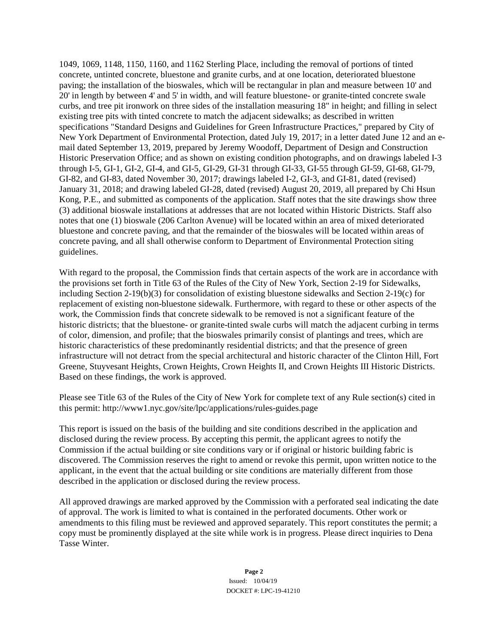1049, 1069, 1148, 1150, 1160, and 1162 Sterling Place, including the removal of portions of tinted concrete, untinted concrete, bluestone and granite curbs, and at one location, deteriorated bluestone paving; the installation of the bioswales, which will be rectangular in plan and measure between 10' and 20' in length by between 4' and 5' in width, and will feature bluestone- or granite-tinted concrete swale curbs, and tree pit ironwork on three sides of the installation measuring 18" in height; and filling in select existing tree pits with tinted concrete to match the adjacent sidewalks; as described in written specifications "Standard Designs and Guidelines for Green Infrastructure Practices," prepared by City of New York Department of Environmental Protection, dated July 19, 2017; in a letter dated June 12 and an email dated September 13, 2019, prepared by Jeremy Woodoff, Department of Design and Construction Historic Preservation Office; and as shown on existing condition photographs, and on drawings labeled I-3 through I-5, GI-1, GI-2, GI-4, and GI-5, GI-29, GI-31 through GI-33, GI-55 through GI-59, GI-68, GI-79, GI-82, and GI-83, dated November 30, 2017; drawings labeled I-2, GI-3, and GI-81, dated (revised) January 31, 2018; and drawing labeled GI-28, dated (revised) August 20, 2019, all prepared by Chi Hsun Kong, P.E., and submitted as components of the application. Staff notes that the site drawings show three (3) additional bioswale installations at addresses that are not located within Historic Districts. Staff also notes that one (1) bioswale (206 Carlton Avenue) will be located within an area of mixed deteriorated bluestone and concrete paving, and that the remainder of the bioswales will be located within areas of concrete paving, and all shall otherwise conform to Department of Environmental Protection siting guidelines.

With regard to the proposal, the Commission finds that certain aspects of the work are in accordance with the provisions set forth in Title 63 of the Rules of the City of New York, Section 2-19 for Sidewalks, including Section 2-19(b)(3) for consolidation of existing bluestone sidewalks and Section 2-19(c) for replacement of existing non-bluestone sidewalk. Furthermore, with regard to these or other aspects of the work, the Commission finds that concrete sidewalk to be removed is not a significant feature of the historic districts; that the bluestone- or granite-tinted swale curbs will match the adjacent curbing in terms of color, dimension, and profile; that the bioswales primarily consist of plantings and trees, which are historic characteristics of these predominantly residential districts; and that the presence of green infrastructure will not detract from the special architectural and historic character of the Clinton Hill, Fort Greene, Stuyvesant Heights, Crown Heights, Crown Heights II, and Crown Heights III Historic Districts. Based on these findings, the work is approved.

Please see Title 63 of the Rules of the City of New York for complete text of any Rule section(s) cited in this permit: http://www1.nyc.gov/site/lpc/applications/rules-guides.page

This report is issued on the basis of the building and site conditions described in the application and disclosed during the review process. By accepting this permit, the applicant agrees to notify the Commission if the actual building or site conditions vary or if original or historic building fabric is discovered. The Commission reserves the right to amend or revoke this permit, upon written notice to the applicant, in the event that the actual building or site conditions are materially different from those described in the application or disclosed during the review process.

All approved drawings are marked approved by the Commission with a perforated seal indicating the date of approval. The work is limited to what is contained in the perforated documents. Other work or amendments to this filing must be reviewed and approved separately. This report constitutes the permit; a copy must be prominently displayed at the site while work is in progress. Please direct inquiries to Dena Tasse Winter.

> **Page 2** Issued: 10/04/19 DOCKET #: LPC-19-41210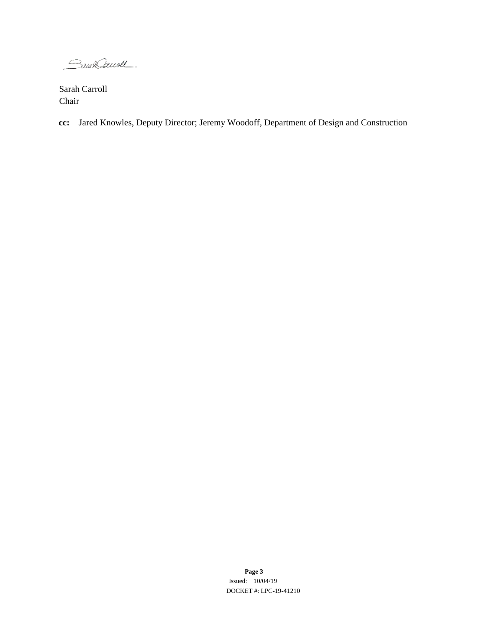Soun Denoll

Sarah Carroll Chair

**cc:** Jared Knowles, Deputy Director; Jeremy Woodoff, Department of Design and Construction

**Page 3** Issued: 10/04/19 DOCKET #: LPC-19-41210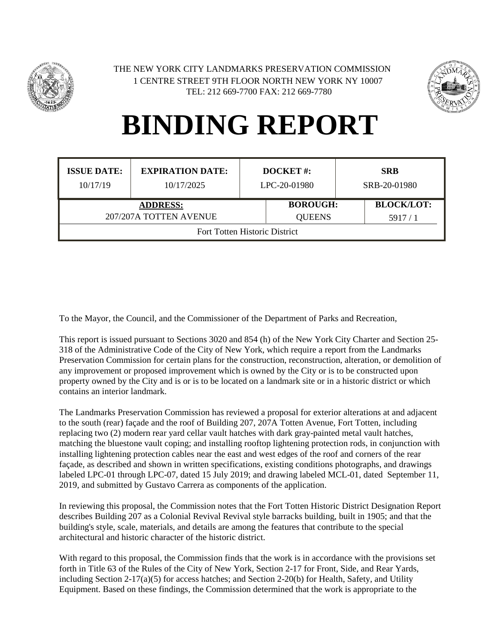



| <b>ISSUE DATE:</b><br>10/17/19 | <b>EXPIRATION DATE:</b><br>10/17/2025 | <b>DOCKET#:</b><br>LPC-20-01980 |                 | <b>SRB</b><br>SRB-20-01980 |  |
|--------------------------------|---------------------------------------|---------------------------------|-----------------|----------------------------|--|
| <b>ADDRESS:</b>                |                                       |                                 | <b>BOROUGH:</b> | <b>BLOCK/LOT:</b>          |  |
| 207/207A TOTTEN AVENUE         |                                       |                                 | <b>QUEENS</b>   | 5917/1                     |  |
| Fort Totten Historic District  |                                       |                                 |                 |                            |  |

To the Mayor, the Council, and the Commissioner of the Department of Parks and Recreation,

This report is issued pursuant to Sections 3020 and 854 (h) of the New York City Charter and Section 25- 318 of the Administrative Code of the City of New York, which require a report from the Landmarks Preservation Commission for certain plans for the construction, reconstruction, alteration, or demolition of any improvement or proposed improvement which is owned by the City or is to be constructed upon property owned by the City and is or is to be located on a landmark site or in a historic district or which contains an interior landmark.

The Landmarks Preservation Commission has reviewed a proposal for exterior alterations at and adjacent to the south (rear) façade and the roof of Building 207, 207A Totten Avenue, Fort Totten, including replacing two (2) modern rear yard cellar vault hatches with dark gray-painted metal vault hatches, matching the bluestone vault coping; and installing rooftop lightening protection rods, in conjunction with installing lightening protection cables near the east and west edges of the roof and corners of the rear façade, as described and shown in written specifications, existing conditions photographs, and drawings labeled LPC-01 through LPC-07, dated 15 July 2019; and drawing labeled MCL-01, dated September 11, 2019, and submitted by Gustavo Carrera as components of the application.

In reviewing this proposal, the Commission notes that the Fort Totten Historic District Designation Report describes Building 207 as a Colonial Revival Revival style barracks building, built in 1905; and that the building's style, scale, materials, and details are among the features that contribute to the special architectural and historic character of the historic district.

With regard to this proposal, the Commission finds that the work is in accordance with the provisions set forth in Title 63 of the Rules of the City of New York, Section 2-17 for Front, Side, and Rear Yards, including Section 2-17(a)(5) for access hatches; and Section 2-20(b) for Health, Safety, and Utility Equipment. Based on these findings, the Commission determined that the work is appropriate to the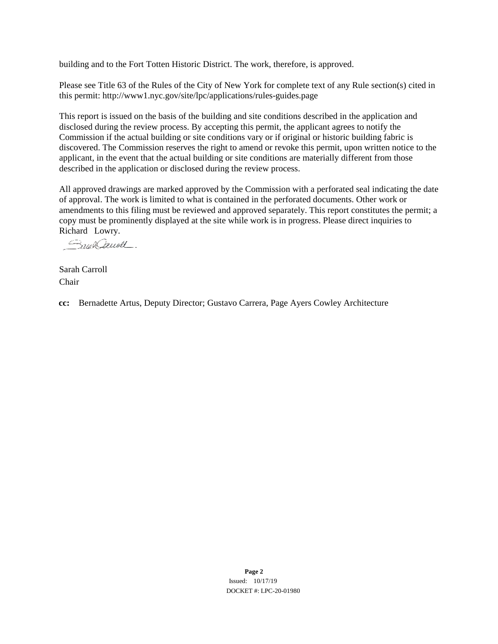building and to the Fort Totten Historic District. The work, therefore, is approved.

Please see Title 63 of the Rules of the City of New York for complete text of any Rule section(s) cited in this permit: http://www1.nyc.gov/site/lpc/applications/rules-guides.page

This report is issued on the basis of the building and site conditions described in the application and disclosed during the review process. By accepting this permit, the applicant agrees to notify the Commission if the actual building or site conditions vary or if original or historic building fabric is discovered. The Commission reserves the right to amend or revoke this permit, upon written notice to the applicant, in the event that the actual building or site conditions are materially different from those described in the application or disclosed during the review process.

All approved drawings are marked approved by the Commission with a perforated seal indicating the date of approval. The work is limited to what is contained in the perforated documents. Other work or amendments to this filing must be reviewed and approved separately. This report constitutes the permit; a copy must be prominently displayed at the site while work is in progress. Please direct inquiries to Richard Lowry.

Sound Saucell.

Sarah Carroll Chair

**cc:** Bernadette Artus, Deputy Director; Gustavo Carrera, Page Ayers Cowley Architecture

**Page 2** Issued: 10/17/19 DOCKET #: LPC-20-01980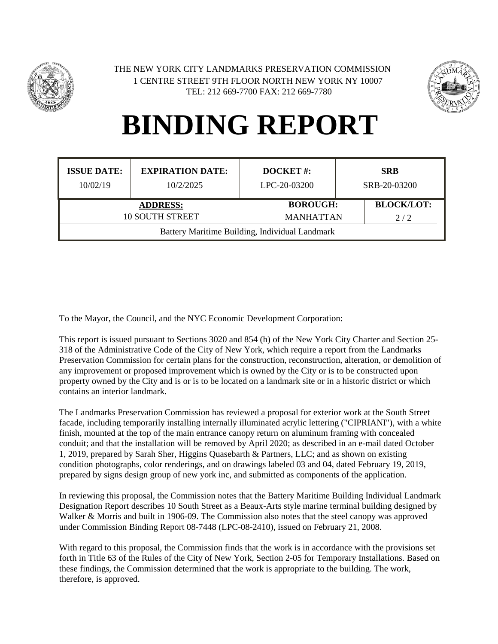



| <b>ISSUE DATE:</b><br>10/02/19                 | <b>EXPIRATION DATE:</b><br>10/2/2025 | DOCKET#:<br>LPC-20-03200 |                                                                 |  | <b>SRB</b><br>SRB-20-03200 |
|------------------------------------------------|--------------------------------------|--------------------------|-----------------------------------------------------------------|--|----------------------------|
| <b>ADDRESS:</b><br><b>10 SOUTH STREET</b>      |                                      |                          | <b>BLOCK/LOT:</b><br><b>BOROUGH:</b><br><b>MANHATTAN</b><br>2/2 |  |                            |
| Battery Maritime Building, Individual Landmark |                                      |                          |                                                                 |  |                            |

To the Mayor, the Council, and the NYC Economic Development Corporation:

This report is issued pursuant to Sections 3020 and 854 (h) of the New York City Charter and Section 25- 318 of the Administrative Code of the City of New York, which require a report from the Landmarks Preservation Commission for certain plans for the construction, reconstruction, alteration, or demolition of any improvement or proposed improvement which is owned by the City or is to be constructed upon property owned by the City and is or is to be located on a landmark site or in a historic district or which contains an interior landmark.

The Landmarks Preservation Commission has reviewed a proposal for exterior work at the South Street facade, including temporarily installing internally illuminated acrylic lettering ("CIPRIANI"), with a white finish, mounted at the top of the main entrance canopy return on aluminum framing with concealed conduit; and that the installation will be removed by April 2020; as described in an e-mail dated October 1, 2019, prepared by Sarah Sher, Higgins Quasebarth & Partners, LLC; and as shown on existing condition photographs, color renderings, and on drawings labeled 03 and 04, dated February 19, 2019, prepared by signs design group of new york inc, and submitted as components of the application.

In reviewing this proposal, the Commission notes that the Battery Maritime Building Individual Landmark Designation Report describes 10 South Street as a Beaux-Arts style marine terminal building designed by Walker & Morris and built in 1906-09. The Commission also notes that the steel canopy was approved under Commission Binding Report 08-7448 (LPC-08-2410), issued on February 21, 2008.

With regard to this proposal, the Commission finds that the work is in accordance with the provisions set forth in Title 63 of the Rules of the City of New York, Section 2-05 for Temporary Installations. Based on these findings, the Commission determined that the work is appropriate to the building. The work, therefore, is approved.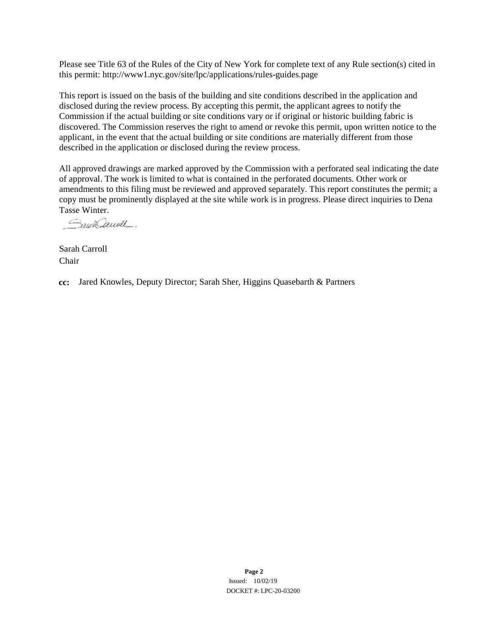Please see Title 63 of the Rules of the City of New York for complete text of any Rule section(s) cited in this permit: http://www1.nyc.gov/site/lpc/applications/rules-guides.page

This report is issued on the basis of the building and site conditions described in the application and disclosed during the review process. By accepting this permit, the applicant agrees to notify the Commission if the actual building or site conditions vary or if original or historic building fabric is discovered. The Commission reserves the right to amend or revoke this permit, upon written notice to the applicant, in the event that the actual building or site conditions are materially different from those described in the application or disclosed during the review process.

All approved drawings are marked approved by the Commission with a perforated seal indicating the date of approval. The work is limited to what is contained in the perforated documents. Other work or amendments to this filing must be reviewed and approved separately. This report constitutes the permit; a copy must be prominently displayed at the site while work is in progress. Please direct inquiries to Dena Tasse Winter.

Small Denoll.

Sarah Carroll Chair

**cc:** Jared Knowles, Deputy Director; Sarah Sher, Higgins Quasebarth & Partners

**Page 2** Issued: 10/02/19 DOCKET #: LPC-20-03200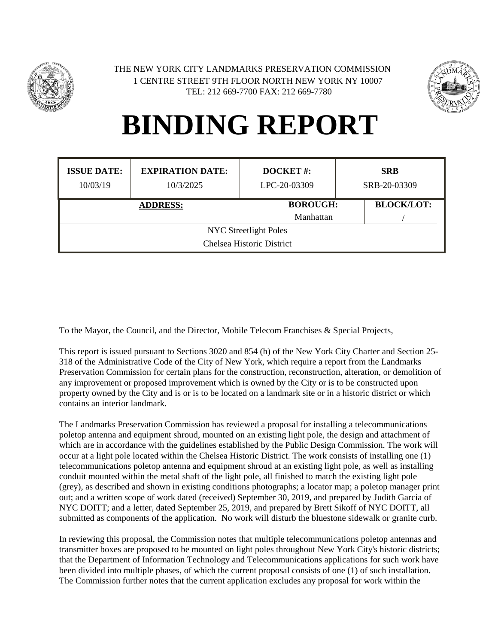



| <b>ISSUE DATE:</b><br>10/03/19 | <b>EXPIRATION DATE:</b><br>10/3/2025 | <b>DOCKET#:</b><br>LPC-20-03309 |                 |  | <b>SRB</b><br>SRB-20-03309 |
|--------------------------------|--------------------------------------|---------------------------------|-----------------|--|----------------------------|
| <b>ADDRESS:</b>                |                                      |                                 | <b>BOROUGH:</b> |  | <b>BLOCK/LOT:</b>          |
|                                |                                      |                                 | Manhattan       |  |                            |
| <b>NYC</b> Streetlight Poles   |                                      |                                 |                 |  |                            |
| Chelsea Historic District      |                                      |                                 |                 |  |                            |

To the Mayor, the Council, and the Director, Mobile Telecom Franchises & Special Projects,

This report is issued pursuant to Sections 3020 and 854 (h) of the New York City Charter and Section 25- 318 of the Administrative Code of the City of New York, which require a report from the Landmarks Preservation Commission for certain plans for the construction, reconstruction, alteration, or demolition of any improvement or proposed improvement which is owned by the City or is to be constructed upon property owned by the City and is or is to be located on a landmark site or in a historic district or which contains an interior landmark.

The Landmarks Preservation Commission has reviewed a proposal for installing a telecommunications poletop antenna and equipment shroud, mounted on an existing light pole, the design and attachment of which are in accordance with the guidelines established by the Public Design Commission. The work will occur at a light pole located within the Chelsea Historic District. The work consists of installing one (1) telecommunications poletop antenna and equipment shroud at an existing light pole, as well as installing conduit mounted within the metal shaft of the light pole, all finished to match the existing light pole (grey), as described and shown in existing conditions photographs; a locator map; a poletop manager print out; and a written scope of work dated (received) September 30, 2019, and prepared by Judith Garcia of NYC DOITT; and a letter, dated September 25, 2019, and prepared by Brett Sikoff of NYC DOITT, all submitted as components of the application. No work will disturb the bluestone sidewalk or granite curb.

In reviewing this proposal, the Commission notes that multiple telecommunications poletop antennas and transmitter boxes are proposed to be mounted on light poles throughout New York City's historic districts; that the Department of Information Technology and Telecommunications applications for such work have been divided into multiple phases, of which the current proposal consists of one (1) of such installation. The Commission further notes that the current application excludes any proposal for work within the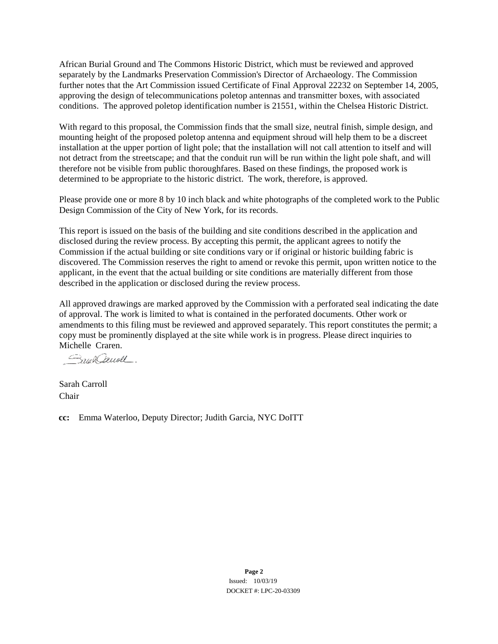African Burial Ground and The Commons Historic District, which must be reviewed and approved separately by the Landmarks Preservation Commission's Director of Archaeology. The Commission further notes that the Art Commission issued Certificate of Final Approval 22232 on September 14, 2005, approving the design of telecommunications poletop antennas and transmitter boxes, with associated conditions. The approved poletop identification number is 21551, within the Chelsea Historic District.

With regard to this proposal, the Commission finds that the small size, neutral finish, simple design, and mounting height of the proposed poletop antenna and equipment shroud will help them to be a discreet installation at the upper portion of light pole; that the installation will not call attention to itself and will not detract from the streetscape; and that the conduit run will be run within the light pole shaft, and will therefore not be visible from public thoroughfares. Based on these findings, the proposed work is determined to be appropriate to the historic district. The work, therefore, is approved.

Please provide one or more 8 by 10 inch black and white photographs of the completed work to the Public Design Commission of the City of New York, for its records.

This report is issued on the basis of the building and site conditions described in the application and disclosed during the review process. By accepting this permit, the applicant agrees to notify the Commission if the actual building or site conditions vary or if original or historic building fabric is discovered. The Commission reserves the right to amend or revoke this permit, upon written notice to the applicant, in the event that the actual building or site conditions are materially different from those described in the application or disclosed during the review process.

All approved drawings are marked approved by the Commission with a perforated seal indicating the date of approval. The work is limited to what is contained in the perforated documents. Other work or amendments to this filing must be reviewed and approved separately. This report constitutes the permit; a copy must be prominently displayed at the site while work is in progress. Please direct inquiries to Michelle Craren.

Small Denoll

Sarah Carroll Chair

**cc:** Emma Waterloo, Deputy Director; Judith Garcia, NYC DoITT

**Page 2** Issued: 10/03/19 DOCKET #: LPC-20-03309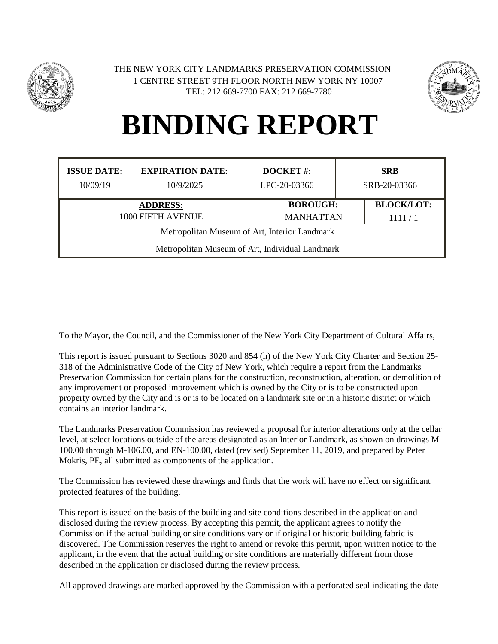



| <b>ISSUE DATE:</b>                              | <b>EXPIRATION DATE:</b> | <b>DOCKET#:</b> |                  | <b>SRB</b>        |  |  |
|-------------------------------------------------|-------------------------|-----------------|------------------|-------------------|--|--|
| 10/09/19                                        | 10/9/2025               | LPC-20-03366    |                  | SRB-20-03366      |  |  |
| <b>ADDRESS:</b>                                 |                         |                 | <b>BOROUGH:</b>  | <b>BLOCK/LOT:</b> |  |  |
| 1000 FIFTH AVENUE                               |                         |                 | <b>MANHATTAN</b> | 1111/1            |  |  |
| Metropolitan Museum of Art, Interior Landmark   |                         |                 |                  |                   |  |  |
| Metropolitan Museum of Art, Individual Landmark |                         |                 |                  |                   |  |  |

To the Mayor, the Council, and the Commissioner of the New York City Department of Cultural Affairs,

This report is issued pursuant to Sections 3020 and 854 (h) of the New York City Charter and Section 25- 318 of the Administrative Code of the City of New York, which require a report from the Landmarks Preservation Commission for certain plans for the construction, reconstruction, alteration, or demolition of any improvement or proposed improvement which is owned by the City or is to be constructed upon property owned by the City and is or is to be located on a landmark site or in a historic district or which contains an interior landmark.

The Landmarks Preservation Commission has reviewed a proposal for interior alterations only at the cellar level, at select locations outside of the areas designated as an Interior Landmark, as shown on drawings M-100.00 through M-106.00, and EN-100.00, dated (revised) September 11, 2019, and prepared by Peter Mokris, PE, all submitted as components of the application.

The Commission has reviewed these drawings and finds that the work will have no effect on significant protected features of the building.

This report is issued on the basis of the building and site conditions described in the application and disclosed during the review process. By accepting this permit, the applicant agrees to notify the Commission if the actual building or site conditions vary or if original or historic building fabric is discovered. The Commission reserves the right to amend or revoke this permit, upon written notice to the applicant, in the event that the actual building or site conditions are materially different from those described in the application or disclosed during the review process.

All approved drawings are marked approved by the Commission with a perforated seal indicating the date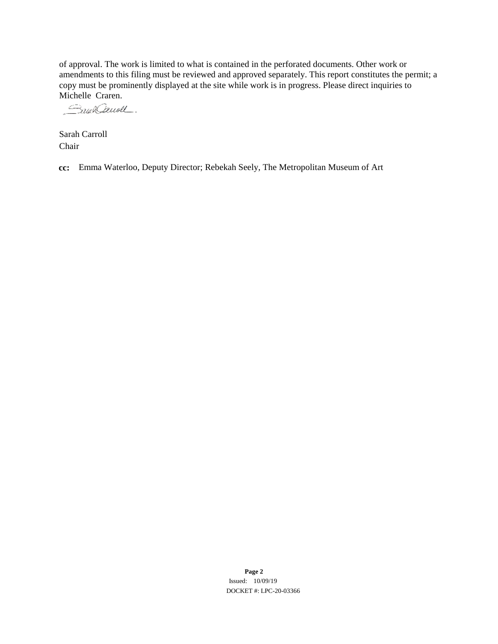of approval. The work is limited to what is contained in the perforated documents. Other work or amendments to this filing must be reviewed and approved separately. This report constitutes the permit; a copy must be prominently displayed at the site while work is in progress. Please direct inquiries to

Michelle Craren.<br>*Salak Causel* 

Sarah Carroll Chair

**cc:** Emma Waterloo, Deputy Director; Rebekah Seely, The Metropolitan Museum of Art

**Page 2** Issued: 10/09/19 DOCKET #: LPC-20-03366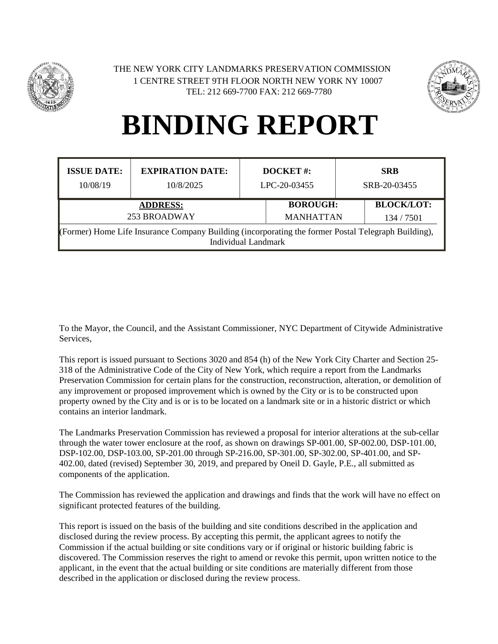



| <b>ISSUE DATE:</b>                                                                                                         | <b>EXPIRATION DATE:</b> | <b>DOCKET#:</b> |                  | <b>SRB</b>   |                   |
|----------------------------------------------------------------------------------------------------------------------------|-------------------------|-----------------|------------------|--------------|-------------------|
| 10/08/19                                                                                                                   | 10/8/2025               | LPC-20-03455    |                  | SRB-20-03455 |                   |
| <b>ADDRESS:</b>                                                                                                            |                         |                 | <b>BOROUGH:</b>  |              | <b>BLOCK/LOT:</b> |
| 253 BROADWAY                                                                                                               |                         |                 | <b>MANHATTAN</b> |              | 134/7501          |
| (Former) Home Life Insurance Company Building (incorporating the former Postal Telegraph Building),<br>Individual Landmark |                         |                 |                  |              |                   |

To the Mayor, the Council, and the Assistant Commissioner, NYC Department of Citywide Administrative Services,

This report is issued pursuant to Sections 3020 and 854 (h) of the New York City Charter and Section 25- 318 of the Administrative Code of the City of New York, which require a report from the Landmarks Preservation Commission for certain plans for the construction, reconstruction, alteration, or demolition of any improvement or proposed improvement which is owned by the City or is to be constructed upon property owned by the City and is or is to be located on a landmark site or in a historic district or which contains an interior landmark.

The Landmarks Preservation Commission has reviewed a proposal for interior alterations at the sub-cellar through the water tower enclosure at the roof, as shown on drawings SP-001.00, SP-002.00, DSP-101.00, DSP-102.00, DSP-103.00, SP-201.00 through SP-216.00, SP-301.00, SP-302.00, SP-401.00, and SP-402.00, dated (revised) September 30, 2019, and prepared by Oneil D. Gayle, P.E., all submitted as components of the application.

The Commission has reviewed the application and drawings and finds that the work will have no effect on significant protected features of the building.

This report is issued on the basis of the building and site conditions described in the application and disclosed during the review process. By accepting this permit, the applicant agrees to notify the Commission if the actual building or site conditions vary or if original or historic building fabric is discovered. The Commission reserves the right to amend or revoke this permit, upon written notice to the applicant, in the event that the actual building or site conditions are materially different from those described in the application or disclosed during the review process.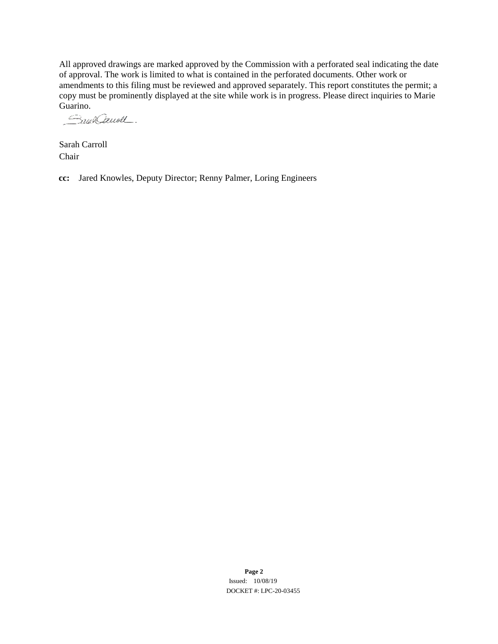All approved drawings are marked approved by the Commission with a perforated seal indicating the date of approval. The work is limited to what is contained in the perforated documents. Other work or amendments to this filing must be reviewed and approved separately. This report constitutes the permit; a copy must be prominently displayed at the site while work is in progress. Please direct inquiries to Marie Guarino.

Smit Cauoll

Sarah Carroll Chair

**cc:** Jared Knowles, Deputy Director; Renny Palmer, Loring Engineers

**Page 2** Issued: 10/08/19 DOCKET #: LPC-20-03455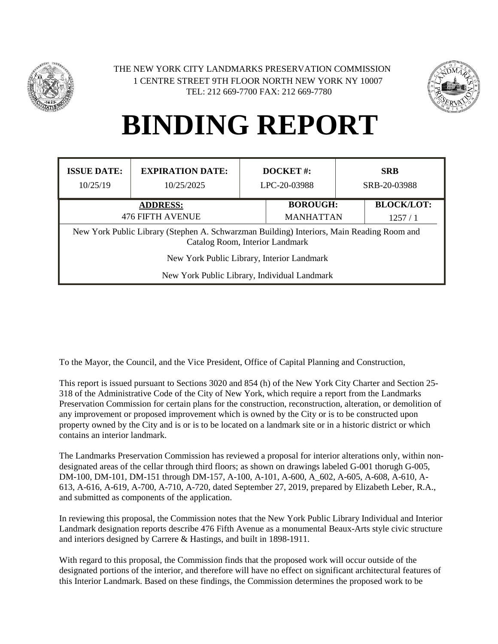



| <b>ISSUE DATE:</b><br>10/25/19                                                                                               | <b>EXPIRATION DATE:</b><br>10/25/2025 | <b>DOCKET#:</b><br>LPC-20-03988 |                                     |  | <b>SRB</b><br>SRB-20-03988  |
|------------------------------------------------------------------------------------------------------------------------------|---------------------------------------|---------------------------------|-------------------------------------|--|-----------------------------|
| <b>ADDRESS:</b><br><b>476 FIFTH AVENUE</b>                                                                                   |                                       |                                 | <b>BOROUGH:</b><br><b>MANHATTAN</b> |  | <b>BLOCK/LOT:</b><br>1257/1 |
| New York Public Library (Stephen A. Schwarzman Building) Interiors, Main Reading Room and<br>Catalog Room, Interior Landmark |                                       |                                 |                                     |  |                             |
| New York Public Library, Interior Landmark                                                                                   |                                       |                                 |                                     |  |                             |
| New York Public Library, Individual Landmark                                                                                 |                                       |                                 |                                     |  |                             |

To the Mayor, the Council, and the Vice President, Office of Capital Planning and Construction,

This report is issued pursuant to Sections 3020 and 854 (h) of the New York City Charter and Section 25- 318 of the Administrative Code of the City of New York, which require a report from the Landmarks Preservation Commission for certain plans for the construction, reconstruction, alteration, or demolition of any improvement or proposed improvement which is owned by the City or is to be constructed upon property owned by the City and is or is to be located on a landmark site or in a historic district or which contains an interior landmark.

The Landmarks Preservation Commission has reviewed a proposal for interior alterations only, within nondesignated areas of the cellar through third floors; as shown on drawings labeled G-001 thorugh G-005, DM-100, DM-101, DM-151 through DM-157, A-100, A-101, A-600, A\_602, A-605, A-608, A-610, A-613, A-616, A-619, A-700, A-710, A-720, dated September 27, 2019, prepared by Elizabeth Leber, R.A., and submitted as components of the application.

In reviewing this proposal, the Commission notes that the New York Public Library Individual and Interior Landmark designation reports describe 476 Fifth Avenue as a monumental Beaux-Arts style civic structure and interiors designed by Carrere & Hastings, and built in 1898-1911.

With regard to this proposal, the Commission finds that the proposed work will occur outside of the designated portions of the interior, and therefore will have no effect on significant architectural features of this Interior Landmark. Based on these findings, the Commission determines the proposed work to be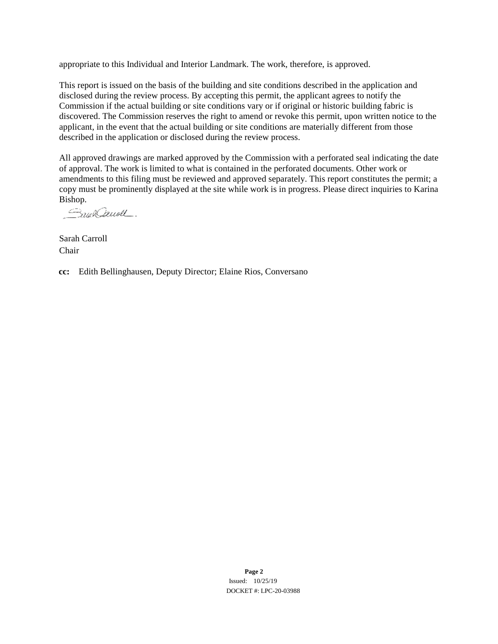appropriate to this Individual and Interior Landmark. The work, therefore, is approved.

This report is issued on the basis of the building and site conditions described in the application and disclosed during the review process. By accepting this permit, the applicant agrees to notify the Commission if the actual building or site conditions vary or if original or historic building fabric is discovered. The Commission reserves the right to amend or revoke this permit, upon written notice to the applicant, in the event that the actual building or site conditions are materially different from those described in the application or disclosed during the review process.

All approved drawings are marked approved by the Commission with a perforated seal indicating the date of approval. The work is limited to what is contained in the perforated documents. Other work or amendments to this filing must be reviewed and approved separately. This report constitutes the permit; a copy must be prominently displayed at the site while work is in progress. Please direct inquiries to Karina Bishop.

Saun Cauvell.

Sarah Carroll Chair

**cc:** Edith Bellinghausen, Deputy Director; Elaine Rios, Conversano

**Page 2** Issued: 10/25/19 DOCKET #: LPC-20-03988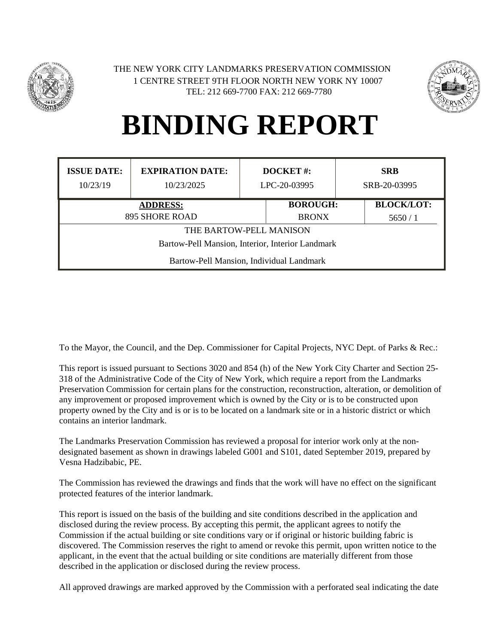



| <b>ISSUE DATE:</b><br>10/23/19                   | <b>EXPIRATION DATE:</b><br>10/23/2025 | DOCKET#:<br>LPC-20-03995 |              | <b>SRB</b><br>SRB-20-03995 |        |  |  |
|--------------------------------------------------|---------------------------------------|--------------------------|--------------|----------------------------|--------|--|--|
| <b>ADDRESS:</b>                                  |                                       | <b>BOROUGH:</b>          |              | <b>BLOCK/LOT:</b>          |        |  |  |
| 895 SHORE ROAD                                   |                                       |                          | <b>BRONX</b> |                            | 5650/1 |  |  |
| THE BARTOW-PELL MANISON                          |                                       |                          |              |                            |        |  |  |
| Bartow-Pell Mansion, Interior, Interior Landmark |                                       |                          |              |                            |        |  |  |
| Bartow-Pell Mansion, Individual Landmark         |                                       |                          |              |                            |        |  |  |

To the Mayor, the Council, and the Dep. Commissioner for Capital Projects, NYC Dept. of Parks & Rec.:

This report is issued pursuant to Sections 3020 and 854 (h) of the New York City Charter and Section 25- 318 of the Administrative Code of the City of New York, which require a report from the Landmarks Preservation Commission for certain plans for the construction, reconstruction, alteration, or demolition of any improvement or proposed improvement which is owned by the City or is to be constructed upon property owned by the City and is or is to be located on a landmark site or in a historic district or which contains an interior landmark.

The Landmarks Preservation Commission has reviewed a proposal for interior work only at the nondesignated basement as shown in drawings labeled G001 and S101, dated September 2019, prepared by Vesna Hadzibabic, PE.

The Commission has reviewed the drawings and finds that the work will have no effect on the significant protected features of the interior landmark.

This report is issued on the basis of the building and site conditions described in the application and disclosed during the review process. By accepting this permit, the applicant agrees to notify the Commission if the actual building or site conditions vary or if original or historic building fabric is discovered. The Commission reserves the right to amend or revoke this permit, upon written notice to the applicant, in the event that the actual building or site conditions are materially different from those described in the application or disclosed during the review process.

All approved drawings are marked approved by the Commission with a perforated seal indicating the date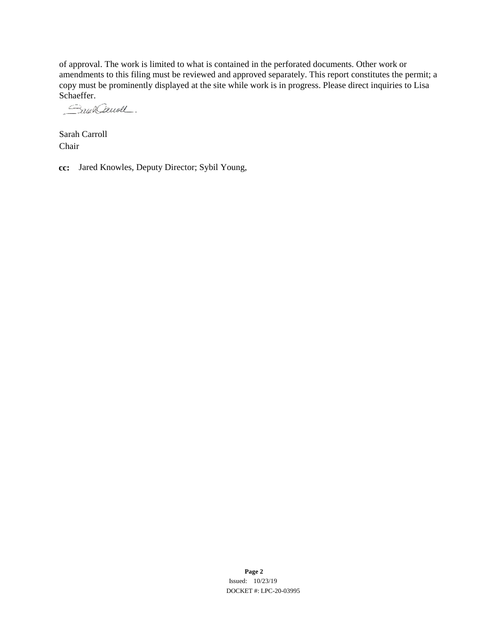of approval. The work is limited to what is contained in the perforated documents. Other work or amendments to this filing must be reviewed and approved separately. This report constitutes the permit; a copy must be prominently displayed at the site while work is in progress. Please direct inquiries to Lisa

Schaeffer.<br>*Gaus Causel* 

Sarah Carroll Chair

**cc:** Jared Knowles, Deputy Director; Sybil Young,

**Page 2** Issued: 10/23/19 DOCKET #: LPC-20-03995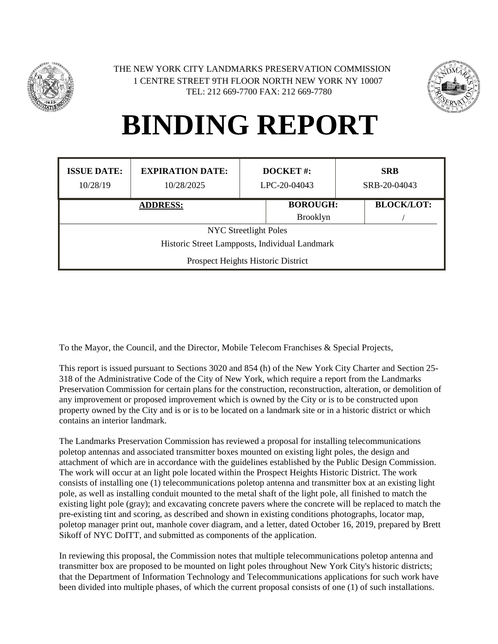



| <b>ISSUE DATE:</b><br>10/28/19                 | <b>EXPIRATION DATE:</b><br>10/28/2025 | <b>DOCKET#:</b><br>LPC-20-04043 |                 | <b>SRB</b><br>SRB-20-04043 |  |  |  |
|------------------------------------------------|---------------------------------------|---------------------------------|-----------------|----------------------------|--|--|--|
| <b>ADDRESS:</b>                                |                                       | <b>BOROUGH:</b>                 |                 | <b>BLOCK/LOT:</b>          |  |  |  |
|                                                |                                       |                                 | <b>Brooklyn</b> |                            |  |  |  |
| <b>NYC</b> Streetlight Poles                   |                                       |                                 |                 |                            |  |  |  |
| Historic Street Lampposts, Individual Landmark |                                       |                                 |                 |                            |  |  |  |
| Prospect Heights Historic District             |                                       |                                 |                 |                            |  |  |  |

To the Mayor, the Council, and the Director, Mobile Telecom Franchises & Special Projects,

This report is issued pursuant to Sections 3020 and 854 (h) of the New York City Charter and Section 25- 318 of the Administrative Code of the City of New York, which require a report from the Landmarks Preservation Commission for certain plans for the construction, reconstruction, alteration, or demolition of any improvement or proposed improvement which is owned by the City or is to be constructed upon property owned by the City and is or is to be located on a landmark site or in a historic district or which contains an interior landmark.

The Landmarks Preservation Commission has reviewed a proposal for installing telecommunications poletop antennas and associated transmitter boxes mounted on existing light poles, the design and attachment of which are in accordance with the guidelines established by the Public Design Commission. The work will occur at an light pole located within the Prospect Heights Historic District. The work consists of installing one (1) telecommunications poletop antenna and transmitter box at an existing light pole, as well as installing conduit mounted to the metal shaft of the light pole, all finished to match the existing light pole (gray); and excavating concrete pavers where the concrete will be replaced to match the pre-existing tint and scoring, as described and shown in existing conditions photographs, locator map, poletop manager print out, manhole cover diagram, and a letter, dated October 16, 2019, prepared by Brett Sikoff of NYC DoITT, and submitted as components of the application.

In reviewing this proposal, the Commission notes that multiple telecommunications poletop antenna and transmitter box are proposed to be mounted on light poles throughout New York City's historic districts; that the Department of Information Technology and Telecommunications applications for such work have been divided into multiple phases, of which the current proposal consists of one (1) of such installations.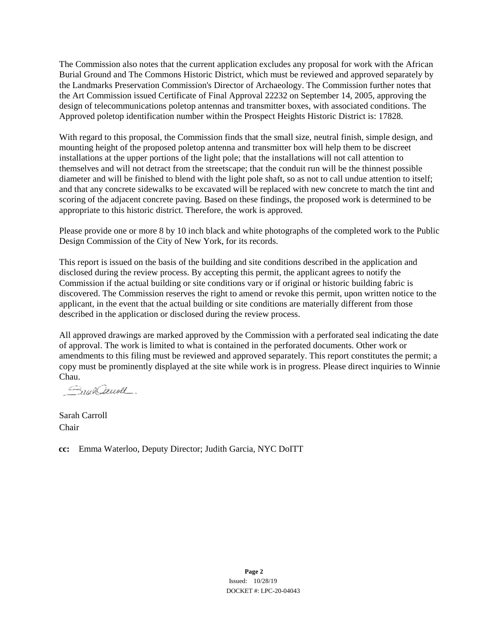The Commission also notes that the current application excludes any proposal for work with the African Burial Ground and The Commons Historic District, which must be reviewed and approved separately by the Landmarks Preservation Commission's Director of Archaeology. The Commission further notes that the Art Commission issued Certificate of Final Approval 22232 on September 14, 2005, approving the design of telecommunications poletop antennas and transmitter boxes, with associated conditions. The Approved poletop identification number within the Prospect Heights Historic District is: 17828.

With regard to this proposal, the Commission finds that the small size, neutral finish, simple design, and mounting height of the proposed poletop antenna and transmitter box will help them to be discreet installations at the upper portions of the light pole; that the installations will not call attention to themselves and will not detract from the streetscape; that the conduit run will be the thinnest possible diameter and will be finished to blend with the light pole shaft, so as not to call undue attention to itself; and that any concrete sidewalks to be excavated will be replaced with new concrete to match the tint and scoring of the adjacent concrete paving. Based on these findings, the proposed work is determined to be appropriate to this historic district. Therefore, the work is approved.

Please provide one or more 8 by 10 inch black and white photographs of the completed work to the Public Design Commission of the City of New York, for its records.

This report is issued on the basis of the building and site conditions described in the application and disclosed during the review process. By accepting this permit, the applicant agrees to notify the Commission if the actual building or site conditions vary or if original or historic building fabric is discovered. The Commission reserves the right to amend or revoke this permit, upon written notice to the applicant, in the event that the actual building or site conditions are materially different from those described in the application or disclosed during the review process.

All approved drawings are marked approved by the Commission with a perforated seal indicating the date of approval. The work is limited to what is contained in the perforated documents. Other work or amendments to this filing must be reviewed and approved separately. This report constitutes the permit; a copy must be prominently displayed at the site while work is in progress. Please direct inquiries to Winnie Chau.

Snaklauoll.

Sarah Carroll Chair

**cc:** Emma Waterloo, Deputy Director; Judith Garcia, NYC DoITT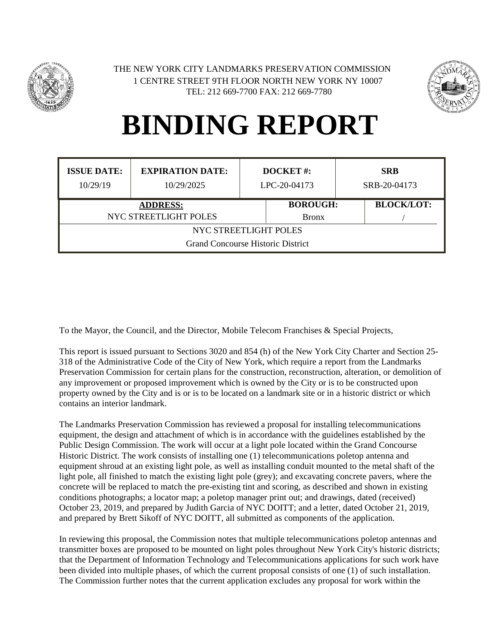



| <b>ISSUE DATE:</b><br>10/29/19           | <b>EXPIRATION DATE:</b><br>10/29/2025 | <b>DOCKET#:</b><br>LPC-20-04173 |              | <b>SRB</b><br>SRB-20-04173 |  |  |
|------------------------------------------|---------------------------------------|---------------------------------|--------------|----------------------------|--|--|
| <b>ADDRESS:</b>                          |                                       | <b>BOROUGH:</b>                 |              | <b>BLOCK/LOT:</b>          |  |  |
| NYC STREETLIGHT POLES                    |                                       |                                 | <b>Bronx</b> |                            |  |  |
| NYC STREETLIGHT POLES                    |                                       |                                 |              |                            |  |  |
| <b>Grand Concourse Historic District</b> |                                       |                                 |              |                            |  |  |

To the Mayor, the Council, and the Director, Mobile Telecom Franchises & Special Projects,

This report is issued pursuant to Sections 3020 and 854 (h) of the New York City Charter and Section 25- 318 of the Administrative Code of the City of New York, which require a report from the Landmarks Preservation Commission for certain plans for the construction, reconstruction, alteration, or demolition of any improvement or proposed improvement which is owned by the City or is to be constructed upon property owned by the City and is or is to be located on a landmark site or in a historic district or which contains an interior landmark.

The Landmarks Preservation Commission has reviewed a proposal for installing telecommunications equipment, the design and attachment of which is in accordance with the guidelines established by the Public Design Commission. The work will occur at a light pole located within the Grand Concourse Historic District. The work consists of installing one (1) telecommunications poletop antenna and equipment shroud at an existing light pole, as well as installing conduit mounted to the metal shaft of the light pole, all finished to match the existing light pole (grey); and excavating concrete pavers, where the concrete will be replaced to match the pre-existing tint and scoring, as described and shown in existing conditions photographs; a locator map; a poletop manager print out; and drawings, dated (received) October 23, 2019, and prepared by Judith Garcia of NYC DOITT; and a letter, dated October 21, 2019, and prepared by Brett Sikoff of NYC DOITT, all submitted as components of the application.

In reviewing this proposal, the Commission notes that multiple telecommunications poletop antennas and transmitter boxes are proposed to be mounted on light poles throughout New York City's historic districts; that the Department of Information Technology and Telecommunications applications for such work have been divided into multiple phases, of which the current proposal consists of one (1) of such installation. The Commission further notes that the current application excludes any proposal for work within the